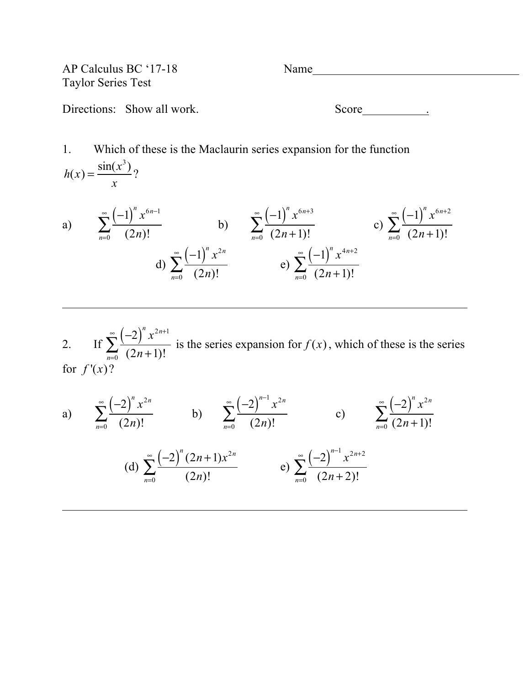AP Calculus BC '17-18 Name Taylor Series Test

Directions: Show all work. Score <u>Score</u> Score Score **Score** ...

1. Which of these is the Maclaurin series expansion for the function  $h(x) = \frac{\sin(x^3)}{2}$ *x* ?

a) 
$$
\sum_{n=0}^{\infty} \frac{(-1)^n x^{6n-1}}{(2n)!}
$$
b) 
$$
\sum_{n=0}^{\infty} \frac{(-1)^n x^{6n+3}}{(2n+1)!}
$$
c) 
$$
\sum_{n=0}^{\infty} \frac{(-1)^n x^{6n+2}}{(2n+1)!}
$$
d) 
$$
\sum_{n=0}^{\infty} \frac{(-1)^n x^{2n}}{(2n)!}
$$
e) 
$$
\sum_{n=0}^{\infty} \frac{(-1)^n x^{4n+2}}{(2n+1)!}
$$

2. If  $\sum_{n=0}^{\infty} \frac{(-2)^n x^{2n+1}}{n!}$  $\sum_{n=0}$   $(2n+1)!$  $\sum_{n=0}^{\infty} \frac{(-2)^n x^{2n+1}}{(2n+1)!}$  is the series expansion for  $f(x)$ , which of these is the series for  $f'(x)$ ?

a) 
$$
\sum_{n=0}^{\infty} \frac{(-2)^n x^{2n}}{(2n)!}
$$
 b) 
$$
\sum_{n=0}^{\infty} \frac{(-2)^{n-1} x^{2n}}{(2n)!}
$$
 c) 
$$
\sum_{n=0}^{\infty} \frac{(-2)^n x^{2n}}{(2n+1)!}
$$
  
(d) 
$$
\sum_{n=0}^{\infty} \frac{(-2)^n (2n+1) x^{2n}}{(2n)!}
$$
 e) 
$$
\sum_{n=0}^{\infty} \frac{(-2)^{n-1} x^{2n+2}}{(2n+2)!}
$$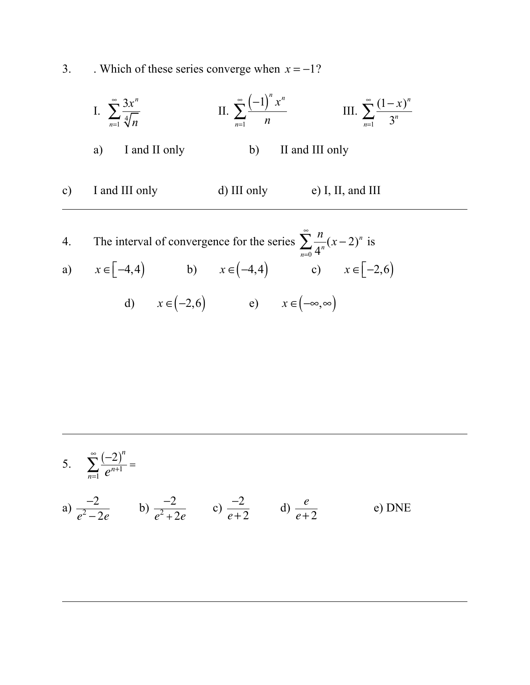3. Which of these series converge when  $x = -1$ ?

I. 
$$
\sum_{n=1}^{\infty} \frac{3x^n}{\sqrt[4]{n}}
$$
 II. 
$$
\sum_{n=1}^{\infty} \frac{(-1)^n x^n}{n}
$$
 III. 
$$
\sum_{n=1}^{\infty} \frac{(1-x)^n}{3^n}
$$
  
a) I and II only b) II and III only  
c) I and III only d) III only e) I, II, and III

4. The interval of convergence for the series  $\sum_{n=1}^{\infty} \frac{n}{n}$  $\sum_{n=0}$  4<sup>n</sup>  $\sum_{n=1}^{\infty} \frac{n}{4^n} (x-2)^n$  is a)  $x \in [-4, 4)$  b)  $x \in (-4, 4)$  c)  $x \in [-2, 6)$ d)  $x \in (-2,6)$  e)  $x \in (-\infty,\infty)$ 

5. 
$$
\sum_{n=1}^{\infty} \frac{(-2)^n}{e^{n+1}} =
$$

a) 
$$
\frac{-2}{e^2 - 2e}
$$
 b)  $\frac{-2}{e^2 + 2e}$  c)  $\frac{-2}{e + 2}$  d)  $\frac{e}{e + 2}$  e) DNE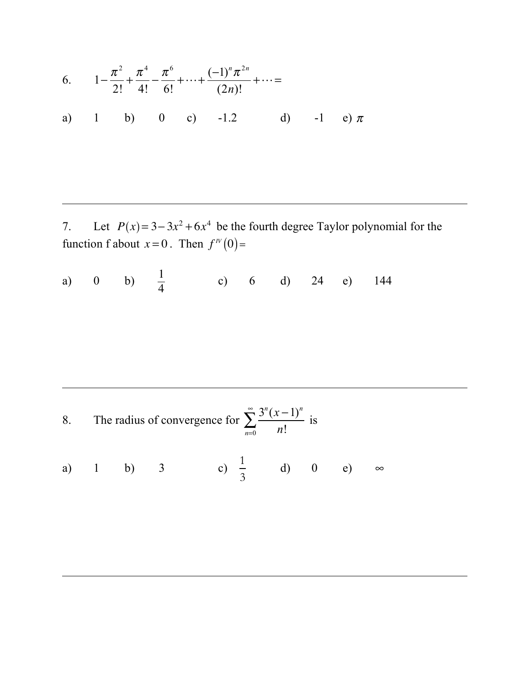6. 
$$
1 - \frac{\pi^2}{2!} + \frac{\pi^4}{4!} - \frac{\pi^6}{6!} + \dots + \frac{(-1)^n \pi^{2n}}{(2n)!} + \dots =
$$
  
a) 1 b) 0 c) -1.2 d) -1 e)  $\pi$ 

7. Let  $P(x) = 3-3x^2+6x^4$  be the fourth degree Taylor polynomial for the function f about  $x = 0$ . Then  $f^{\prime \prime}(0) =$ 

l,

l,

l,

a) 0 b)  $\frac{1}{4}$  c) 6 d) 24 e) 144

8. The radius of convergence for  $\sum_{n=1}^{\infty} \frac{3^n (x-1)^n}{n!}$  $\sum_{n=0}$  *n*!  $\sum_{n=1}^{\infty} \frac{3^n (x-1)^n}{n!}$  is

a) 1 b) 3 c) 
$$
\frac{1}{3}
$$
 d) 0 e)  $\infty$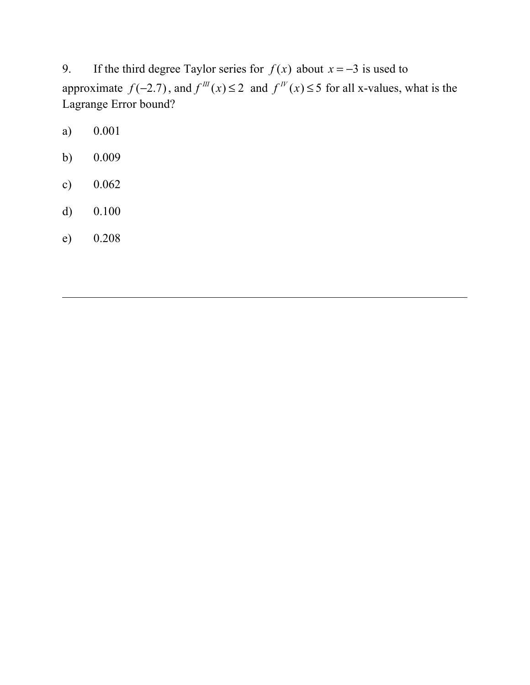9. If the third degree Taylor series for  $f(x)$  about  $x = -3$  is used to approximate  $f(-2.7)$ , and  $f^{\prime\prime\prime}(x) \le 2$  and  $f^{\prime\prime\prime}(x) \le 5$  for all x-values, what is the Lagrange Error bound?

- a) 0.001
- b) 0.009
- c) 0.062
- d) 0.100
- e) 0.208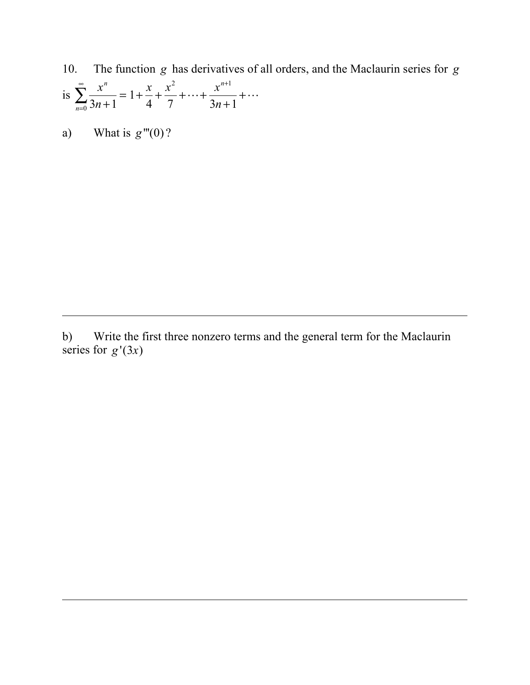- 10. The function *g* has derivatives of all orders, and the Maclaurin series for *g* is  $\sum_{n=1}^{\infty} \frac{x^n}{2^n}$ 3*n* +1 = *n*=0  $\sum_{n=1}^{\infty} \frac{x^n}{3n+1} = 1 + \frac{x}{4}$ 4 + *x* 2 7  $+\cdots +$ *x<sup>n</sup>*+<sup>1</sup> 3*n* +1  $+\cdots$
- a) What is  $g'''(0)$ ?

b) Write the first three nonzero terms and the general term for the Maclaurin series for  $g'(3x)$ 

ı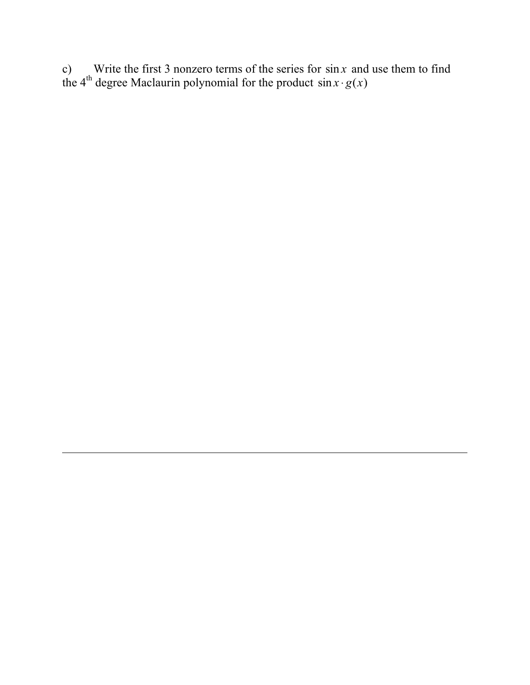c) Write the first 3 nonzero terms of the series for  $\sin x$  and use them to find the 4<sup>th</sup> degree Maclaurin polynomial for the product  $\sin x \cdot g(x)$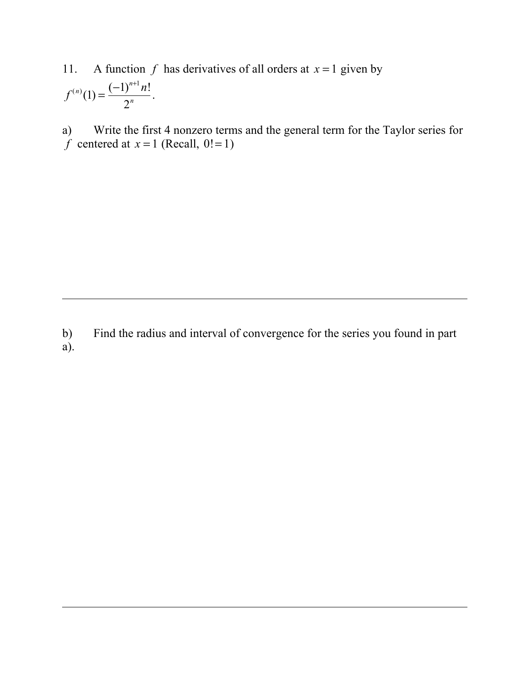11. A function  $f$  has derivatives of all orders at  $x = 1$  given by

$$
f^{(n)}(1) = \frac{(-1)^{n+1} n!}{2^n}.
$$

a) Write the first 4 nonzero terms and the general term for the Taylor series for  $\hat{f}$  centered at  $x = 1$  (Recall, 0!=1)

b) Find the radius and interval of convergence for the series you found in part a).

l,